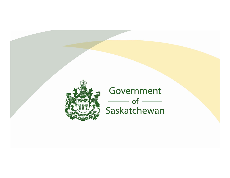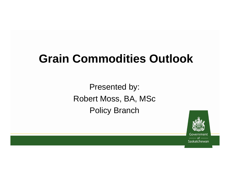# **Grain Commodities Outlook**

Presented by: Robert Moss, BA, MSc Policy Branch



Government Saskatchewan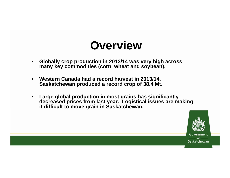### **Overview**

- $\bullet$  **Globally crop production in 2013/14 was very high across**  many key commodities (corn, wheat and soybean).
- $\bullet$  **Western Canada had a record harvest in 2013/14. Saskatchewan produced a record crop of 38.4 Mt.**
- • **Large global production in most grains has significantly decreased prices from last year. Logistical issues are making it difficult to move grain in Saskatchewan.**

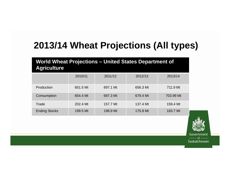### **2013/14 Wheat Projections (All types)**

#### **World Wheat Projections – United States Department of Agriculture**

|                      | 2010/11  | 2011/12  | 2012/13  | 2013/14   |
|----------------------|----------|----------|----------|-----------|
| Production           | 651.5 Mt | 697.1 Mt | 656.3 Mt | 711.9 Mt  |
| Consumption          | 654.4 Mt | 697.3 Mt | 679.4 Mt | 703.99 Mt |
| Trade                | 202.4 Mt | 157.7 Mt | 137.4 Mt | 159.4 Mt  |
| <b>Ending Stocks</b> | 199.5 Mt | 198.9 Mt | 175.8 Mt | 183.7 Mt  |



Government Saskatchewan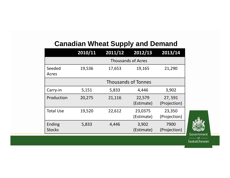#### **Canadian Wheat Supply and Demand**

|                         | 2010/11                    | 2011/12 | 2012/13               | 2013/14                |
|-------------------------|----------------------------|---------|-----------------------|------------------------|
|                         | <b>Thousands of Acres</b>  |         |                       |                        |
| Seeded<br>Acres         | 19,536                     | 17,653  | 19,165                | 21,290                 |
|                         | <b>Thousands of Tonnes</b> |         |                       |                        |
| Carry-in                | 5,151                      | 5,833   | 4,446                 | 3,902                  |
| Production              | 20,275                     | 21,116  | 22,579<br>(Estimate)  | 27,591<br>(Projection) |
| <b>Total Use</b>        | 19,520                     | 22,612  | 23,0375<br>(Estimate) | 23,350<br>(Projection) |
| Ending<br><b>Stocks</b> | 5,833                      | 4,446   | 3,902<br>(Estimate)   | 7900<br>(Projection)   |



Government Saskatchewan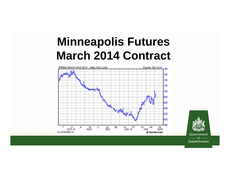# **Minneapolis Futures March 2014 Contract**

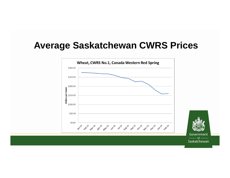#### **Average Saskatchewan CWRS Prices**

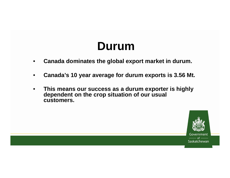### **Durum**

- •**Canada dominates the global export market in durum.**
- •**Canada's 10 year average for durum exports is 3.56 Mt.**
- • **This means our success as a durum exporter is highly dependent on the crop situation of our usual customers.**

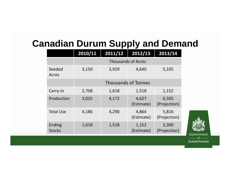#### **Canadian Durum Supply and Demand**

|                         | 2010/11                    | 2011/12                   | 2012/13             | 2013/14               |  |  |
|-------------------------|----------------------------|---------------------------|---------------------|-----------------------|--|--|
|                         |                            | <b>Thousands of Acres</b> |                     |                       |  |  |
| Seeded<br>Acres         | 3,150                      | 3,929                     | 4,640               | 5,105                 |  |  |
|                         | <b>Thousands of Tonnes</b> |                           |                     |                       |  |  |
| Carry-in                | 2,708                      | 1,618                     | 1,518               | 1,152                 |  |  |
| Production              | 3,025                      | 4,172                     | 4,627<br>(Estimate) | 6,505<br>(Projection) |  |  |
| <b>Total Use</b>        | 4,186                      | 4,290                     | 4,864<br>(Estimate) | 5,816<br>(Projection) |  |  |
| Ending<br><b>Stocks</b> | 1,618                      | 1,518                     | 1,152<br>(Estimate) | 2,300<br>(Projection) |  |  |

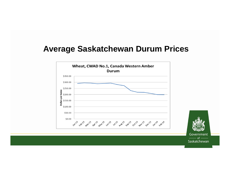#### **Average Saskatchewan Durum Prices**

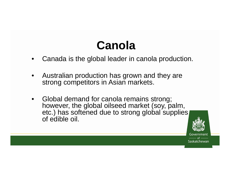# **Canola**

- •Canada is the global leader in canola production.
- • Australian production has grown and they are strong competitors in Asian markets.
- • Global demand for canola remains strong; however, the global oilseed market (soy, palm, etc.) has softened due to strong global supplies of edible oil.

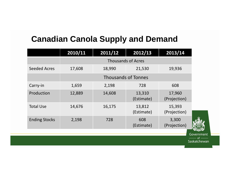#### **Canadian Canola Supply and Demand**

|                      | 2010/11 | 2011/12                    | 2012/13              | 2013/14                |  |
|----------------------|---------|----------------------------|----------------------|------------------------|--|
|                      |         | <b>Thousands of Acres</b>  |                      |                        |  |
| <b>Seeded Acres</b>  | 17,608  | 18,990                     | 21,530               | 19,936                 |  |
|                      |         | <b>Thousands of Tonnes</b> |                      |                        |  |
| Carry-in             | 1,659   | 2,198                      | 728                  | 608                    |  |
| Production           | 12,889  | 14,608                     | 13,310<br>(Estimate) | 17,960<br>(Projection) |  |
| <b>Total Use</b>     | 14,676  | 16,175                     | 13,812<br>(Estimate) | 15,393<br>(Projection) |  |
| <b>Ending Stocks</b> | 2,198   | 728                        | 608<br>(Estimate)    | 3,300<br>(Projection)  |  |
|                      |         |                            |                      | Government             |  |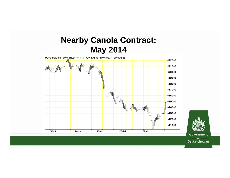#### **Nearby Canola Contract: May 2014**

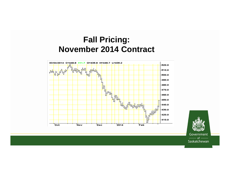#### **Fall Pricing: November 2014 Contract**





Government  $of -$ Saskatchewan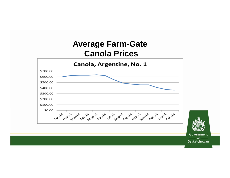#### **Average Farm-Gate Canola Prices**

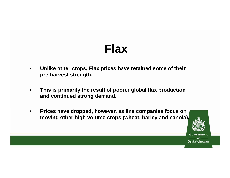### **Flax**

- • **Unlike other crops, Flax prices have retained some of their pre-harvest strength.**
- • **This is primarily the result of poorer global flax production and continued strong demand.**
- $\bullet$  **Prices have dropped, however, as line companies focus on moving other high volume crops (wheat, barley and canola).**

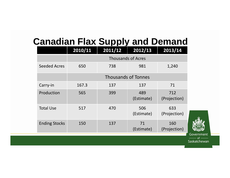#### **Canadian Flax Supply and Demand**

|                      | 2010/11                    | 2011/12 | 2012/13           | 2013/14             |
|----------------------|----------------------------|---------|-------------------|---------------------|
|                      | <b>Thousands of Acres</b>  |         |                   |                     |
| <b>Seeded Acres</b>  | 650                        | 738     | 981               | 1,240               |
|                      | <b>Thousands of Tonnes</b> |         |                   |                     |
| Carry-in             | 167.3                      | 137     | 137               | 71                  |
| Production           | 565                        | 399     | 489<br>(Estimate) | 712<br>(Projection) |
| <b>Total Use</b>     | 517                        | 470     | 506<br>(Estimate) | 633<br>(Projection) |
| <b>Ending Stocks</b> | 150                        | 137     | 71<br>(Estimate)  | 160<br>(Projection) |



ernment  $-$  of  $-$ Saskatchewan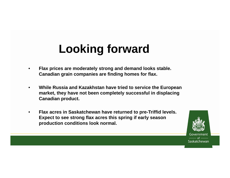# **Looking forward**

- • **Flax prices are moderately strong and demand looks stable. Canadian grain companies are finding homes for flax.**
- $\bullet$  **While Russia and Kazakhstan have tried to service the European market, they have not been completely successful in displacing Canadian product.**
- • **Flax acres in Saskatchewan have returned to pre-Triffid levels. Expect to see strong flax acres this spring if early season production conditions look normal.**

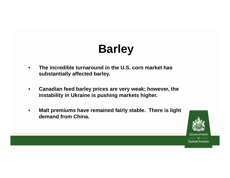# **Barley**

- • **The incredible turnaround in the U.S. corn market has substantially affected barley.**
- • **Canadian feed barley prices are very weak; however, the instability in Ukraine is pushing markets higher.**
- • **Malt premiums have remained fairly stable. There is light demand from China.**

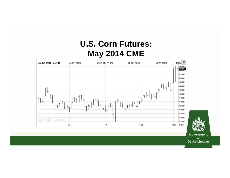#### **U.S. Corn Futures: May 2014 CME**

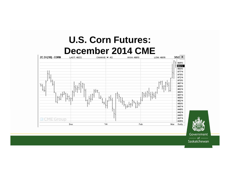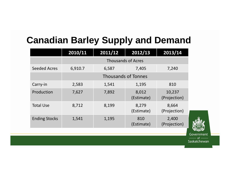#### **Canadian Barley Supply and Demand**

|                      | 2010/11                    | 2011/12 | 2012/13             | 2013/14                |
|----------------------|----------------------------|---------|---------------------|------------------------|
|                      | <b>Thousands of Acres</b>  |         |                     |                        |
| <b>Seeded Acres</b>  | 6,910.7                    | 6,587   | 7,405               | 7,240                  |
|                      | <b>Thousands of Tonnes</b> |         |                     |                        |
| Carry-in             | 2,583                      | 1,541   | 1,195               | 810                    |
| Production           | 7,627                      | 7,892   | 8,012<br>(Estimate) | 10,237<br>(Projection) |
| <b>Total Use</b>     | 8,712                      | 8,199   | 8,279<br>(Estimate) | 8,664<br>(Projection)  |
| <b>Ending Stocks</b> | 1,541                      | 1,195   | 810<br>(Estimate)   | 2,400<br>(Projection)  |

Government  $\alpha$ f Saskatchewan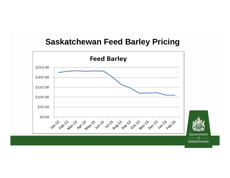#### **Saskatchewan Feed Barley Pricing**

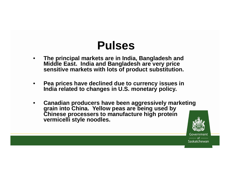### **Pulses**

- • **The principal markets are in India, Bangladesh and Middle East. India and Bangladesh are very price sensitive markets with lots of product substitution.**
- • **Pea prices have declined due to currency issues in India related to changes in U.S. monetary policy.**
- • **Canadian producers have been aggressively marketing grain into China. Yellow peas are being used by Chinese processers to manufacture high protein vermicelli style noodles.**

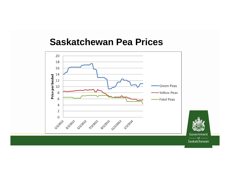#### **Saskatchewan Pea Prices**

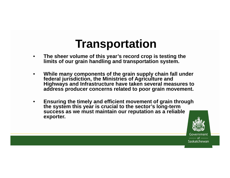### **Transportation**

- • **The sheer volume of this year's record crop is testing the limits of our grain handling and transportation system.**
- • **While many components of the grain supply chain fall under federal jurisdiction, the Ministries of Agriculture and Highways and Infrastructure have taken several measures to address producer concerns related to poor grain movement.**
- • **Ensuring the timely and efficient movement of grain through the system this year is crucial to the sector's long-term success as we must maintain our reputation as a reliable exporter.**

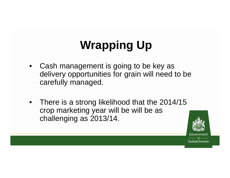# **Wrapping Up**

- • Cash management is going to be key as delivery opportunities for grain will need to be carefully managed.
- • There is a strong likelihood that the 2014/15 crop marketing year will be will be as challenging as 2013/14.